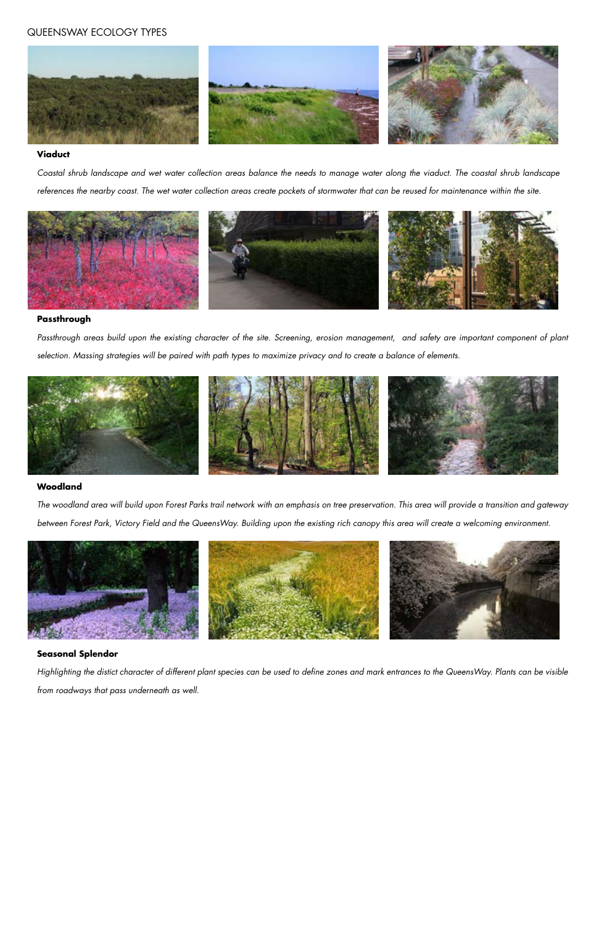#### **Viaduct**

*Coastal shrub landscape and wet water collection areas balance the needs to manage water along the viaduct. The coastal shrub landscape references the nearby coast. The wet water collection areas create pockets of stormwater that can be reused for maintenance within the site.*



#### **Passthrough**

*Passthrough areas build upon the existing character of the site. Screening, erosion management, and safety are important component of plant selection. Massing strategies will be paired with path types to maximize privacy and to create a balance of elements.*



#### **Woodland**

*The woodland area will build upon Forest Parks trail network with an emphasis on tree preservation. This area will provide a transition and gateway between Forest Park, Victory Field and the QueensWay. Building upon the existing rich canopy this area will create a welcoming environment.*



#### **Seasonal Splendor**

*Highlighting the distict character of different plant species can be used to define zones and mark entrances to the QueensWay. Plants can be visible* 

*from roadways that pass underneath as well.*

## QUEENSWAY ECOLOGY TYPES